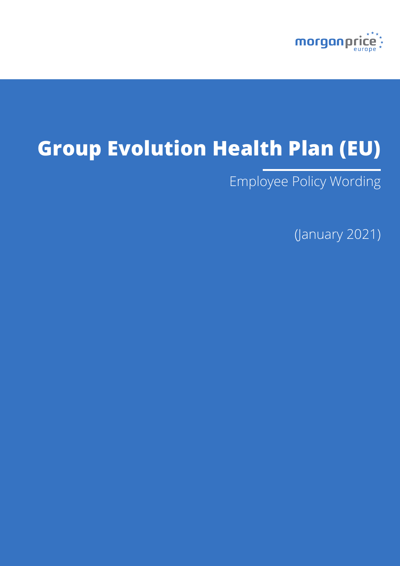

# **Group Evolution Health Plan (EU)**

Employee Policy Wording

(January 2021)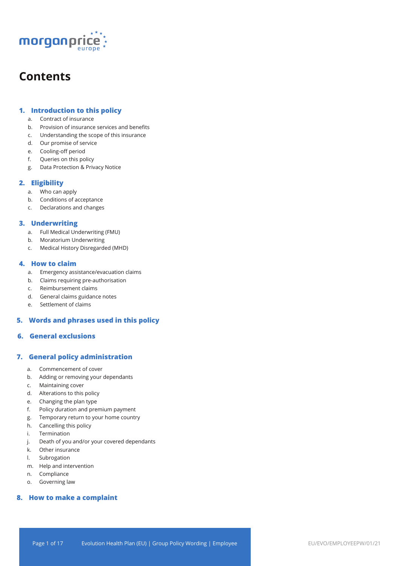

## **Contents**

## **1. Introduction to this policy**

- a. Contract of insurance
- b. Provision of insurance services and benefits
- c. Understanding the scope of this insurance
- d. Our promise of service
- e. Cooling-off period
- f. Queries on this policy
- g. Data Protection & Privacy Notice

## **2. Eligibility**

- a. Who can apply
- b. Conditions of acceptance
- c. Declarations and changes

## **3. Underwriting**

- a. Full Medical Underwriting (FMU)
- b. Moratorium Underwriting
- c. Medical History Disregarded (MHD)

## **4. How to claim**

- a. Emergency assistance/evacuation claims
- b. Claims requiring pre-authorisation
- c. Reimbursement claims
- d. General claims guidance notes
- e. Settlement of claims

## **5. Words and phrases used in this policy**

## **6. General exclusions**

## **7. General policy administration**

- a. Commencement of cover
- b. Adding or removing your dependants
- c. Maintaining cover
- d. Alterations to this policy
- e. Changing the plan type
- f. Policy duration and premium payment
- g. Temporary return to your home country
- h. Cancelling this policy
- i. Termination
- j. Death of you and/or your covered dependants
- k. Other insurance
- l. Subrogation
- m. Help and intervention
- n. Compliance
- o. Governing law

## **8. How to make a complaint**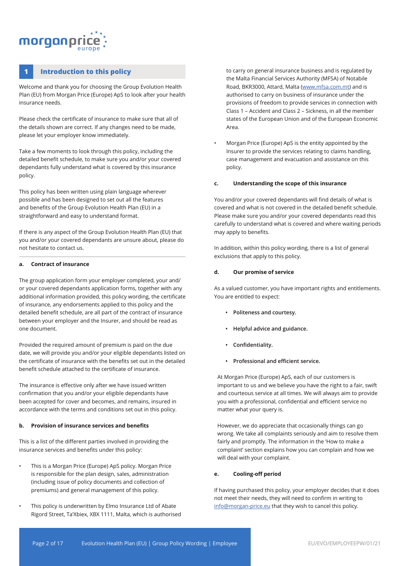## morganpri

## **1 Introduction to this policy**

Welcome and thank you for choosing the Group Evolution Health Plan (EU) from Morgan Price (Europe) ApS to look after your health insurance needs.

Please check the certificate of insurance to make sure that all of the details shown are correct. If any changes need to be made, please let your employer know immediately.

Take a few moments to look through this policy, including the detailed benefit schedule, to make sure you and/or your covered dependants fully understand what is covered by this insurance policy.

This policy has been written using plain language wherever possible and has been designed to set out all the features and benefits of the Group Evolution Health Plan (EU) in a straightforward and easy to understand format.

If there is any aspect of the Group Evolution Health Plan (EU) that you and/or your covered dependants are unsure about, please do not hesitate to contact us.

#### **a. Contract of insurance**

The group application form your employer completed, your and/ or your covered dependants application forms, together with any additional information provided, this policy wording, the certificate of insurance, any endorsements applied to this policy and the detailed benefit schedule, are all part of the contract of insurance between your employer and the Insurer, and should be read as one document.

Provided the required amount of premium is paid on the due date, we will provide you and/or your eligible dependants listed on the certificate of insurance with the benefits set out in the detailed benefit schedule attached to the certificate of insurance.

The insurance is effective only after we have issued written confirmation that you and/or your eligible dependants have been accepted for cover and becomes, and remains, insured in accordance with the terms and conditions set out in this policy.

#### **b. Provision of insurance services and benefits**

This is a list of the different parties involved in providing the insurance services and benefits under this policy:

- This is a Morgan Price (Europe) ApS policy. Morgan Price is responsible for the plan design, sales, administration (including issue of policy documents and collection of premiums) and general management of this policy.
- This policy is underwritten by Elmo Insurance Ltd of Abate Rigord Street, Ta'Xbiex, XBX 1111, Malta, which is authorised

to carry on general insurance business and is regulated by the Malta Financial Services Authority (MFSA) of Notabile Road, BKR3000, Attard, Malta (www.mfsa.com.mt) and is authorised to carry on business of insurance under the provisions of freedom to provide services in connection with Class 1 – Accident and Class 2 – Sickness, in all the member states of the European Union and of the European Economic Area.

• Morgan Price (Europe) ApS is the entity appointed by the Insurer to provide the services relating to claims handling, case management and evacuation and assistance on this policy.

### **c. Understanding the scope of this insurance**

You and/or your covered dependants will find details of what is covered and what is not covered in the detailed benefit schedule. Please make sure you and/or your covered dependants read this carefully to understand what is covered and where waiting periods may apply to benefits.

In addition, within this policy wording, there is a list of general exclusions that apply to this policy.

#### **d. Our promise of service**

As a valued customer, you have important rights and entitlements. You are entitled to expect:

- **• Politeness and courtesy.**
- **• Helpful advice and guidance.**
- **• Confidentiality.**
- **• Professional and efficient service.**

At Morgan Price (Europe) ApS, each of our customers is important to us and we believe you have the right to a fair, swift and courteous service at all times. We will always aim to provide you with a professional, confidential and efficient service no matter what your query is.

However, we do appreciate that occasionally things can go wrong. We take all complaints seriously and aim to resolve them fairly and promptly. The information in the 'How to make a complaint' section explains how you can complain and how we will deal with your complaint.

#### **e. Cooling-off period**

If having purchased this policy, your employer decides that it does not meet their needs, they will need to confirm in writing to info@morgan-price.eu that they wish to cancel this policy.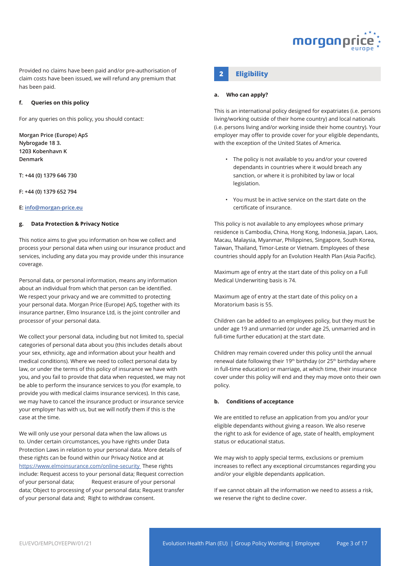

**2 Eligibility 2 Eligibility** claim costs have been issued, we will refund any premium that has been paid.

#### **f. Queries on this policy**

For any queries on this policy, you should contact:

**Morgan Price (Europe) ApS Nybrogade 18 3. 1203 Kobenhavn K Denmark**

**T: +44 (0) 1379 646 730**

**F: +44 (0) 1379 652 794**

#### **E: info@morgan-price.eu**

#### **g. Data Protection & Privacy Notice**

This notice aims to give you information on how we collect and process your personal data when using our insurance product and services, including any data you may provide under this insurance coverage.

Personal data, or personal information, means any information about an individual from which that person can be identified. We respect your privacy and we are committed to protecting your personal data. Morgan Price (Europe) ApS, together with its insurance partner, Elmo Insurance Ltd, is the joint controller and processor of your personal data.

We collect your personal data, including but not limited to, special categories of personal data about you (this includes details about your sex, ethnicity, age and information about your health and medical conditions). Where we need to collect personal data by law, or under the terms of this policy of insurance we have with you, and you fail to provide that data when requested, we may not be able to perform the insurance services to you (for example, to provide you with medical claims insurance services). In this case, we may have to cancel the insurance product or insurance service your employer has with us, but we will notify them if this is the case at the time.

We will only use your personal data when the law allows us to. Under certain circumstances, you have rights under Data Protection Laws in relation to your personal data. More details of these rights can be found within our Privacy Notice and at https://www.elmoinsurance.com/online-security These rights include: Request access to your personal data; Request correction of your personal data; Request erasure of your personal data; Object to processing of your personal data; Request transfer of your personal data and; Right to withdraw consent.

#### **a. Who can apply?**

This is an international policy designed for expatriates (i.e. persons living/working outside of their home country) and local nationals (i.e. persons living and/or working inside their home country). Your employer may offer to provide cover for your eligible dependants, with the exception of the United States of America.

- The policy is not available to you and/or your covered dependants in countries where it would breach any sanction, or where it is prohibited by law or local legislation.
- You must be in active service on the start date on the certificate of insurance.

This policy is not available to any employees whose primary residence is Cambodia, China, Hong Kong, Indonesia, Japan, Laos, Macau, Malaysia, Myanmar, Philippines, Singapore, South Korea, Taiwan, Thailand, Timor-Leste or Vietnam. Employees of these countries should apply for an Evolution Health Plan (Asia Pacific).

Maximum age of entry at the start date of this policy on a Full Medical Underwriting basis is 74.

Maximum age of entry at the start date of this policy on a Moratorium basis is 55.

Children can be added to an employees policy, but they must be under age 19 and unmarried (or under age 25, unmarried and in full-time further education) at the start date.

Children may remain covered under this policy until the annual renewal date following their 19<sup>th</sup> birthday (or 25<sup>th</sup> birthday where in full-time education) or marriage, at which time, their insurance cover under this policy will end and they may move onto their own policy.

#### **b. Conditions of acceptance**

We are entitled to refuse an application from you and/or your eligible dependants without giving a reason. We also reserve the right to ask for evidence of age, state of health, employment status or educational status.

We may wish to apply special terms, exclusions or premium increases to reflect any exceptional circumstances regarding you and/or your eligible dependants application.

If we cannot obtain all the information we need to assess a risk, we reserve the right to decline cover.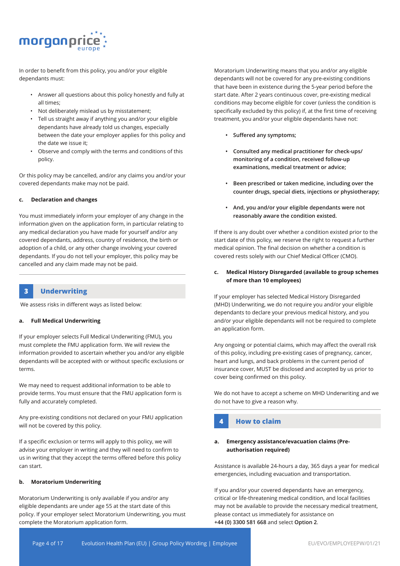

In order to benefit from this policy, you and/or your eligible dependants must:

- Answer all questions about this policy honestly and fully at all times;
- Not deliberately mislead us by misstatement;
- Tell us straight away if anything you and/or your eligible dependants have already told us changes, especially between the date your employer applies for this policy and the date we issue it;
- Observe and comply with the terms and conditions of this policy.

Or this policy may be cancelled, and/or any claims you and/or your covered dependants make may not be paid.

#### **c. Declaration and changes**

You must immediately inform your employer of any change in the information given on the application form, in particular relating to any medical declaration you have made for yourself and/or any covered dependants, address, country of residence, the birth or adoption of a child, or any other change involving your covered dependants. If you do not tell your employer, this policy may be cancelled and any claim made may not be paid.

## **3 Underwriting**

We assess risks in different ways as listed below:

#### **a. Full Medical Underwriting**

If your employer selects Full Medical Underwriting (FMU), you must complete the FMU application form. We will review the information provided to ascertain whether you and/or any eligible dependants will be accepted with or without specific exclusions or terms.

We may need to request additional information to be able to provide terms. You must ensure that the FMU application form is fully and accurately completed.

Any pre-existing conditions not declared on your FMU application will not be covered by this policy.

If a specific exclusion or terms will apply to this policy, we will advise your employer in writing and they will need to confirm to us in writing that they accept the terms offered before this policy can start.

### **b. Moratorium Underwriting**

Moratorium Underwriting is only available if you and/or any eligible dependants are under age 55 at the start date of this policy. If your employer select Moratorium Underwriting, you must complete the Moratorium application form.

Moratorium Underwriting means that you and/or any eligible dependants will not be covered for any pre-existing conditions that have been in existence during the 5-year period before the start date. After 2 years continuous cover, pre-existing medical conditions may become eligible for cover (unless the condition is specifically excluded by this policy) if, at the first time of receiving treatment, you and/or your eligible dependants have not:

- **• Suffered any symptoms;**
- **• Consulted any medical practitioner for check-ups/ monitoring of a condition, received follow-up examinations, medical treatment or advice;**
- **• Been prescribed or taken medicine, including over the counter drugs, special diets, injections or physiotherapy;**
- **• And, you and/or your eligible dependants were not reasonably aware the condition existed.**

If there is any doubt over whether a condition existed prior to the start date of this policy, we reserve the right to request a further medical opinion. The final decision on whether a condition is covered rests solely with our Chief Medical Officer (CMO).

### **c. Medical History Disregarded (available to group schemes of more than 10 employees)**

If your employer has selected Medical History Disregarded (MHD) Underwriting, we do not require you and/or your eligible dependants to declare your previous medical history, and you and/or your eligible dependants will not be required to complete an application form.

Any ongoing or potential claims, which may affect the overall risk of this policy, including pre-existing cases of pregnancy, cancer, heart and lungs, and back problems in the current period of insurance cover, MUST be disclosed and accepted by us prior to cover being confirmed on this policy.

We do not have to accept a scheme on MHD Underwriting and we do not have to give a reason why.

## **4 How to claim**

### **a. Emergency assistance/evacuation claims (Preauthorisation required)**

Assistance is available 24-hours a day, 365 days a year for medical emergencies, including evacuation and transportation.

If you and/or your covered dependants have an emergency, critical or life-threatening medical condition, and local facilities may not be available to provide the necessary medical treatment, please contact us immediately for assistance on **+44 (0) 3300 581 668** and select **Option 2**.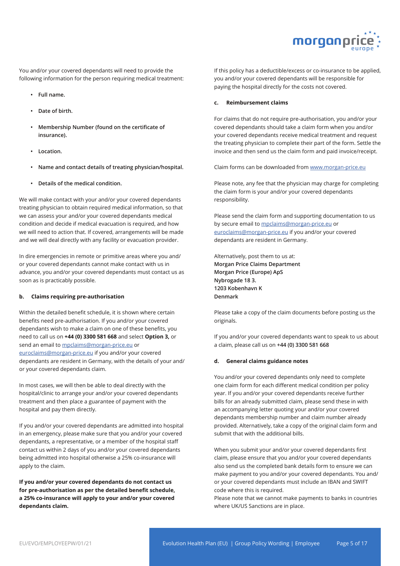

You and/or your covered dependants will need to provide the following information for the person requiring medical treatment:

- **• Full name.**
- **• Date of birth.**
- **• Membership Number (found on the certificate of insurance).**
- **• Location.**
- **• Name and contact details of treating physician/hospital.**
- **• Details of the medical condition.**

We will make contact with your and/or your covered dependants treating physician to obtain required medical information, so that we can assess your and/or your covered dependants medical condition and decide if medical evacuation is required, and how we will need to action that. If covered, arrangements will be made and we will deal directly with any facility or evacuation provider.

In dire emergencies in remote or primitive areas where you and/ or your covered dependants cannot make contact with us in advance, you and/or your covered dependants must contact us as soon as is practicably possible.

#### **b. Claims requiring pre-authorisation**

Within the detailed benefit schedule, it is shown where certain benefits need pre-authorisation. If you and/or your covered dependants wish to make a claim on one of these benefits, you need to call us on **+44 (0) 3300 581 668** and select **Option 3,** or send an email to mpclaims@morgan-price.eu or euroclaims@morgan-price.eu if you and/or your covered dependants are resident in Germany, with the details of your and/ or your covered dependants claim.

In most cases, we will then be able to deal directly with the hospital/clinic to arrange your and/or your covered dependants treatment and then place a guarantee of payment with the hospital and pay them directly.

If you and/or your covered dependants are admitted into hospital in an emergency, please make sure that you and/or your covered dependants, a representative, or a member of the hospital staff contact us within 2 days of you and/or your covered dependants being admitted into hospital otherwise a 25% co-insurance will apply to the claim.

**If you and/or your covered dependants do not contact us for pre-authorisation as per the detailed benefit schedule, a 25% co-insurance will apply to your and/or your covered dependants claim.**

If this policy has a deductible/excess or co-insurance to be applied, you and/or your covered dependants will be responsible for paying the hospital directly for the costs not covered.

#### **c. Reimbursement claims**

For claims that do not require pre-authorisation, you and/or your covered dependants should take a claim form when you and/or your covered dependants receive medical treatment and request the treating physician to complete their part of the form. Settle the invoice and then send us the claim form and paid invoice/receipt.

Claim forms can be downloaded from www.morgan-price.eu

Please note, any fee that the physician may charge for completing the claim form is your and/or your covered dependants responsibility.

Please send the claim form and supporting documentation to us by secure email to mpclaims@morgan-price.eu or euroclaims@morgan-price.eu if you and/or your covered dependants are resident in Germany.

Alternatively, post them to us at: **Morgan Price Claims Department Morgan Price (Europe) ApS Nybrogade 18 3. 1203 Kobenhavn K Denmark**

Please take a copy of the claim documents before posting us the originals.

If you and/or your covered dependants want to speak to us about a claim, please call us on **+44 (0) 3300 581 668**

#### **d. General claims guidance notes**

You and/or your covered dependants only need to complete one claim form for each different medical condition per policy year. If you and/or your covered dependants receive further bills for an already submitted claim, please send these in with an accompanying letter quoting your and/or your covered dependants membership number and claim number already provided. Alternatively, take a copy of the original claim form and submit that with the additional bills.

When you submit your and/or your covered dependants first claim, please ensure that you and/or your covered dependants also send us the completed bank details form to ensure we can make payment to you and/or your covered dependants. You and/ or your covered dependants must include an IBAN and SWIFT code where this is required.

Please note that we cannot make payments to banks in countries where UK/US Sanctions are in place.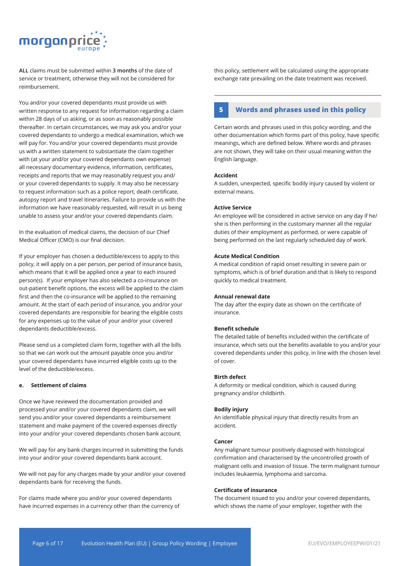

**ALL** claims must be submitted within **3 months** of the date of service or treatment, otherwise they will not be considered for reimbursement.

You and/or your covered dependants must provide us with written response to any request for information regarding a claim within 28 days of us asking, or as soon as reasonably possible thereafter. In certain circumstances, we may ask you and/or your covered dependants to undergo a medical examination, which we will pay for. You and/or your covered dependants must provide us with a written statement to substantiate the claim together with (at your and/or your covered dependants own expense) all necessary documentary evidence, information, certificates, receipts and reports that we may reasonably request you and/ or your covered dependants to supply. It may also be necessary to request information such as a police report, death certificate, autopsy report and travel itineraries. Failure to provide us with the information we have reasonably requested, will result in us being unable to assess your and/or your covered dependants claim.

In the evaluation of medical claims, the decision of our Chief Medical Officer (CMO) is our final decision.

If your employer has chosen a deductible/excess to apply to this policy, it will apply on a per person, per period of insurance basis, which means that it will be applied once a year to each insured person(s). If your employer has also selected a co-insurance on out-patient benefit options, the excess will be applied to the claim first and then the co-insurance will be applied to the remaining amount. At the start of each period of insurance, you and/or your covered dependants are responsible for bearing the eligible costs for any expenses up to the value of your and/or your covered dependants deductible/excess.

Please send us a completed claim form, together with all the bills so that we can work out the amount payable once you and/or your covered dependants have incurred eligible costs up to the level of the deductible/excess.

#### **e. Settlement of claims**

Once we have reviewed the documentation provided and processed your and/or your covered dependants claim, we will send you and/or your covered dependants a reimbursement statement and make payment of the covered expenses directly into your and/or your covered dependants chosen bank account.

We will pay for any bank charges incurred in submitting the funds into your and/or your covered dependants bank account.

We will not pay for any charges made by your and/or your covered dependants bank for receiving the funds.

For claims made where you and/or your covered dependants have incurred expenses in a currency other than the currency of this policy, settlement will be calculated using the appropriate exchange rate prevailing on the date treatment was received.

## **5 Words and phrases used in this policy**

Certain words and phrases used in this policy wording, and the other documentation which forms part of this policy, have specific meanings, which are defined below. Where words and phrases are not shown, they will take on their usual meaning within the English language.

#### **Accident**

A sudden, unexpected, specific bodily injury caused by violent or external means.

#### **Active Service**

An employee will be considered in active service on any day if he/ she is then performing in the customary manner all the regular duties of their employment as performed, or were capable of being performed on the last regularly scheduled day of work.

#### **Acute Medical Condition**

A medical condition of rapid onset resulting in severe pain or symptoms, which is of brief duration and that is likely to respond quickly to medical treatment.

#### **Annual renewal date**

The day after the expiry date as shown on the certificate of insurance.

#### **Benefit schedule**

The detailed table of benefits included within the certificate of insurance, which sets out the benefits available to you and/or your covered dependants under this policy, in line with the chosen level of cover.

#### **Birth defect**

A deformity or medical condition, which is caused during pregnancy and/or childbirth.

#### **Bodily injury**

An identifiable physical injury that directly results from an accident.

#### **Cancer**

Any malignant tumour positively diagnosed with histological confirmation and characterised by the uncontrolled growth of malignant cells and invasion of tissue. The term malignant tumour includes leukaemia, lymphoma and sarcoma.

#### **Certificate of insurance**

The document issued to you and/or your covered dependants, which shows the name of your employer, together with the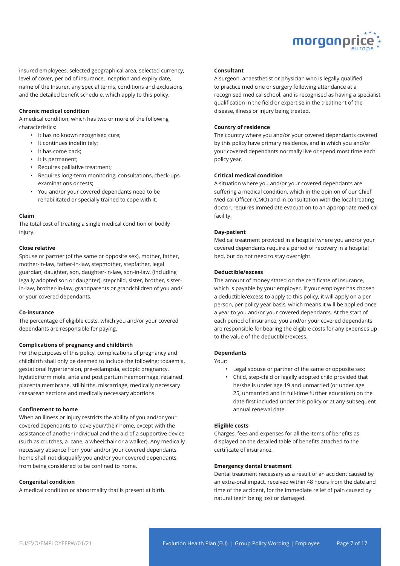

insured employees, selected geographical area, selected currency, level of cover, period of insurance, inception and expiry date, name of the Insurer, any special terms, conditions and exclusions and the detailed benefit schedule, which apply to this policy.

#### **Chronic medical condition**

A medical condition, which has two or more of the following characteristics:

- It has no known recognised cure;
- It continues indefinitely;
- It has come back;
- It is permanent;
- Requires palliative treatment;
- Requires long-term monitoring, consultations, check-ups, examinations or tests;
- You and/or your covered dependants need to be rehabilitated or specially trained to cope with it.

#### **Claim**

The total cost of treating a single medical condition or bodily injury.

#### **Close relative**

Spouse or partner (of the same or opposite sex), mother, father, mother-in-law, father-in-law, stepmother, stepfather, legal guardian, daughter, son, daughter-in-law, son-in-law, (including legally adopted son or daughter), stepchild, sister, brother, sisterin-law, brother-in-law, grandparents or grandchildren of you and/ or your covered dependants.

#### **Co-insurance**

The percentage of eligible costs, which you and/or your covered dependants are responsible for paying.

#### **Complications of pregnancy and childbirth**

For the purposes of this policy, complications of pregnancy and childbirth shall only be deemed to include the following: toxaemia, gestational hypertension, pre-eclampsia, ectopic pregnancy, hydatidiform mole, ante and post partum haemorrhage, retained placenta membrane, stillbirths, miscarriage, medically necessary caesarean sections and medically necessary abortions.

#### **Confinement to home**

When an illness or injury restricts the ability of you and/or your covered dependants to leave your/their home, except with the assistance of another individual and the aid of a supportive device (such as crutches, a cane, a wheelchair or a walker). Any medically necessary absence from your and/or your covered dependants home shall not disqualify you and/or your covered dependants from being considered to be confined to home.

#### **Congenital condition**

A medical condition or abnormality that is present at birth.

#### **Consultant**

A surgeon, anaesthetist or physician who is legally qualified to practice medicine or surgery following attendance at a recognised medical school, and is recognised as having a specialist qualification in the field or expertise in the treatment of the disease, illness or injury being treated.

#### **Country of residence**

The country where you and/or your covered dependants covered by this policy have primary residence, and in which you and/or your covered dependants normally live or spend most time each policy year.

#### **Critical medical condition**

A situation where you and/or your covered dependants are suffering a medical condition, which in the opinion of our Chief Medical Officer (CMO) and in consultation with the local treating doctor, requires immediate evacuation to an appropriate medical facility.

#### **Day-patient**

Medical treatment provided in a hospital where you and/or your covered dependants require a period of recovery in a hospital bed, but do not need to stay overnight.

#### **Deductible/excess**

The amount of money stated on the certificate of insurance, which is payable by your employer. If your employer has chosen a deductible/excess to apply to this policy, it will apply on a per person, per policy year basis, which means it will be applied once a year to you and/or your covered dependants. At the start of each period of insurance, you and/or your covered dependants are responsible for bearing the eligible costs for any expenses up to the value of the deductible/excess.

#### **Dependants**

Your:

- Legal spouse or partner of the same or opposite sex;
- Child, step-child or legally adopted child provided that he/she is under age 19 and unmarried (or under age 25, unmarried and in full-time further education) on the date first included under this policy or at any subsequent annual renewal date.

#### **Eligible costs**

Charges, fees and expenses for all the items of benefits as displayed on the detailed table of benefits attached to the certificate of insurance.

#### **Emergency dental treatment**

Dental treatment necessary as a result of an accident caused by an extra-oral impact, received within 48 hours from the date and time of the accident, for the immediate relief of pain caused by natural teeth being lost or damaged.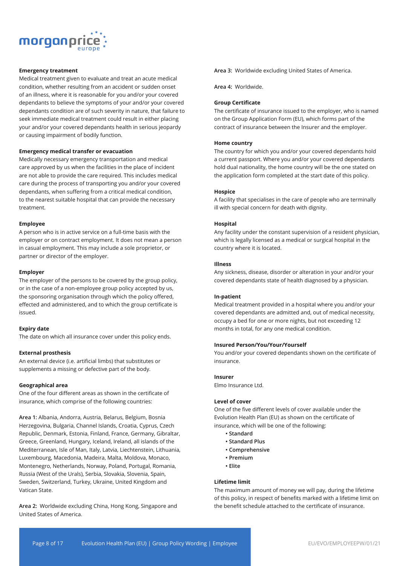

#### **Emergency treatment**

Medical treatment given to evaluate and treat an acute medical condition, whether resulting from an accident or sudden onset of an illness, where it is reasonable for you and/or your covered dependants to believe the symptoms of your and/or your covered dependants condition are of such severity in nature, that failure to seek immediate medical treatment could result in either placing your and/or your covered dependants health in serious jeopardy or causing impairment of bodily function.

#### **Emergency medical transfer or evacuation**

Medically necessary emergency transportation and medical care approved by us when the facilities in the place of incident are not able to provide the care required. This includes medical care during the process of transporting you and/or your covered dependants, when suffering from a critical medical condition, to the nearest suitable hospital that can provide the necessary treatment.

#### **Employee**

A person who is in active service on a full-time basis with the employer or on contract employment. It does not mean a person in casual employment. This may include a sole proprietor, or partner or director of the employer.

#### **Employer**

The employer of the persons to be covered by the group policy, or in the case of a non-employee group policy accepted by us, the sponsoring organisation through which the policy offered, effected and administered, and to which the group certificate is issued.

#### **Expiry date**

The date on which all insurance cover under this policy ends.

#### **External prosthesis**

An external device (i.e. artificial limbs) that substitutes or supplements a missing or defective part of the body.

#### **Geographical area**

One of the four different areas as shown in the certificate of insurance, which comprise of the following countries:

**Area 1:** Albania, Andorra, Austria, Belarus, Belgium, Bosnia Herzegovina, Bulgaria, Channel Islands, Croatia, Cyprus, Czech Republic, Denmark, Estonia, Finland, France, Germany, Gibraltar, Greece, Greenland, Hungary, Iceland, Ireland, all islands of the Mediterranean, Isle of Man, Italy, Latvia, Liechtenstein, Lithuania, Luxembourg, Macedonia, Madeira, Malta, Moldova, Monaco, Montenegro, Netherlands, Norway, Poland, Portugal, Romania, Russia (West of the Urals), Serbia, Slovakia, Slovenia, Spain, Sweden, Switzerland, Turkey, Ukraine, United Kingdom and Vatican State.

**Area 2:** Worldwide excluding China, Hong Kong, Singapore and United States of America.

**Area 3:** Worldwide excluding United States of America.

**Area 4:** Worldwide.

#### **Group Certificate**

The certificate of insurance issued to the employer, who is named on the Group Application Form (EU), which forms part of the contract of insurance between the Insurer and the employer.

#### **Home country**

The country for which you and/or your covered dependants hold a current passport. Where you and/or your covered dependants hold dual nationality, the home country will be the one stated on the application form completed at the start date of this policy.

#### **Hospice**

A facility that specialises in the care of people who are terminally ill with special concern for death with dignity.

#### **Hospital**

Any facility under the constant supervision of a resident physician, which is legally licensed as a medical or surgical hospital in the country where it is located.

#### **Illness**

Any sickness, disease, disorder or alteration in your and/or your covered dependants state of health diagnosed by a physician.

#### **In-patient**

Medical treatment provided in a hospital where you and/or your covered dependants are admitted and, out of medical necessity, occupy a bed for one or more nights, but not exceeding 12 months in total, for any one medical condition.

#### **Insured Person/You/Your/Yourself**

You and/or your covered dependants shown on the certificate of insurance.

#### **Insurer**

Elmo Insurance Ltd.

#### **Level of cover**

One of the five different levels of cover available under the Evolution Health Plan (EU) as shown on the certificate of insurance, which will be one of the following:

- **Standard**
- **Standard Plus**
- **Comprehensive**
- **Premium**
- **Elite**

#### **Lifetime limit**

The maximum amount of money we will pay, during the lifetime of this policy, in respect of benefits marked with a lifetime limit on the benefit schedule attached to the certificate of insurance.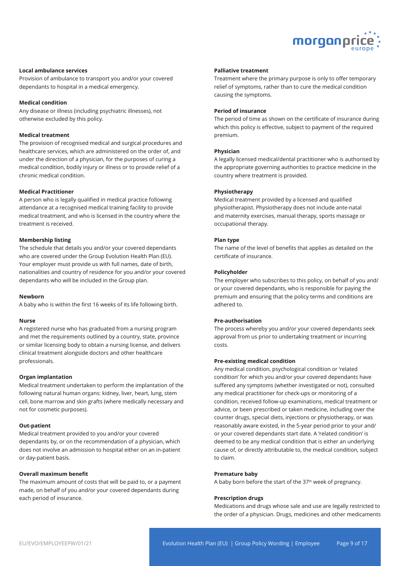

#### **Local ambulance services**

Provision of ambulance to transport you and/or your covered dependants to hospital in a medical emergency.

#### **Medical condition**

Any disease or illness (including psychiatric illnesses), not otherwise excluded by this policy.

#### **Medical treatment**

The provision of recognised medical and surgical procedures and healthcare services, which are administered on the order of, and under the direction of a physician, for the purposes of curing a medical condition, bodily injury or illness or to provide relief of a chronic medical condition.

#### **Medical Practitioner**

A person who is legally qualified in medical practice following attendance at a recognised medical training facility to provide medical treatment, and who is licensed in the country where the treatment is received.

#### **Membership listing**

The schedule that details you and/or your covered dependants who are covered under the Group Evolution Health Plan (EU). Your employer must provide us with full names, date of birth, nationalities and country of residence for you and/or your covered dependants who will be included in the Group plan.

#### **Newborn**

A baby who is within the first 16 weeks of its life following birth.

#### **Nurse**

A registered nurse who has graduated from a nursing program and met the requirements outlined by a country, state, province or similar licensing body to obtain a nursing license, and delivers clinical treatment alongside doctors and other healthcare professionals.

#### **Organ implantation**

Medical treatment undertaken to perform the implantation of the following natural human organs: kidney, liver, heart, lung, stem cell, bone marrow and skin grafts (where medically necessary and not for cosmetic purposes).

#### **Out-patient**

Medical treatment provided to you and/or your covered dependants by, or on the recommendation of a physician, which does not involve an admission to hospital either on an in-patient or day-patient basis.

#### **Overall maximum benefit**

The maximum amount of costs that will be paid to, or a payment made, on behalf of you and/or your covered dependants during each period of insurance.

#### **Palliative treatment**

Treatment where the primary purpose is only to offer temporary relief of symptoms, rather than to cure the medical condition causing the symptoms.

#### **Period of insurance**

The period of time as shown on the certificate of insurance during which this policy is effective, subject to payment of the required premium.

#### **Physician**

A legally licensed medical/dental practitioner who is authorised by the appropriate governing authorities to practice medicine in the country where treatment is provided.

#### **Physiotherapy**

Medical treatment provided by a licensed and qualified physiotherapist. Physiotherapy does not include ante-natal and maternity exercises, manual therapy, sports massage or occupational therapy.

#### **Plan type**

The name of the level of benefits that applies as detailed on the certificate of insurance.

#### **Policyholder**

The employer who subscribes to this policy, on behalf of you and/ or your covered dependants, who is responsible for paying the premium and ensuring that the policy terms and conditions are adhered to.

#### **Pre-authorisation**

The process whereby you and/or your covered dependants seek approval from us prior to undertaking treatment or incurring costs.

#### **Pre-existing medical condition**

Any medical condition, psychological condition or 'related condition' for which you and/or your covered dependants have suffered any symptoms (whether investigated or not), consulted any medical practitioner for check-ups or monitoring of a condition, received follow-up examinations, medical treatment or advice, or been prescribed or taken medicine, including over the counter drugs, special diets, injections or physiotherapy, or was reasonably aware existed, in the 5-year period prior to your and/ or your covered dependants start date. A 'related condition' is deemed to be any medical condition that is either an underlying cause of, or directly attributable to, the medical condition, subject to claim.

#### **Premature baby**

A baby born before the start of the 37<sup>th</sup> week of pregnancy.

#### **Prescription drugs**

Medications and drugs whose sale and use are legally restricted to the order of a physician. Drugs, medicines and other medicaments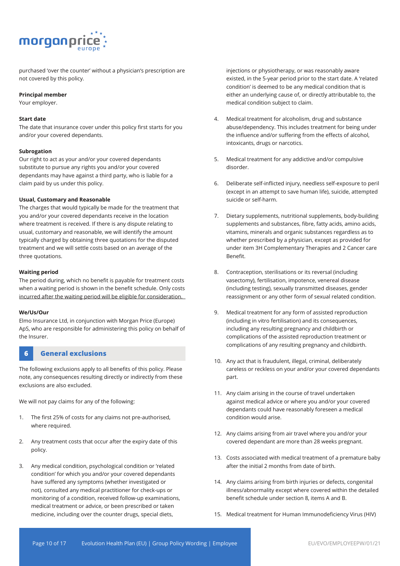

purchased 'over the counter' without a physician's prescription are not covered by this policy.

#### **Principal member**

Your employer.

#### **Start date**

The date that insurance cover under this policy first starts for you and/or your covered dependants.

#### **Subrogation**

Our right to act as your and/or your covered dependants substitute to pursue any rights you and/or your covered dependants may have against a third party, who is liable for a claim paid by us under this policy.

#### **Usual, Customary and Reasonable**

The charges that would typically be made for the treatment that you and/or your covered dependants receive in the location where treatment is received. If there is any dispute relating to usual, customary and reasonable, we will identify the amount typically charged by obtaining three quotations for the disputed treatment and we will settle costs based on an average of the three quotations.

#### **Waiting period**

The period during, which no benefit is payable for treatment costs when a waiting period is shown in the benefit schedule. Only costs incurred after the waiting period will be eligible for consideration.

#### **We/Us/Our**

Elmo Insurance Ltd, in conjunction with Morgan Price (Europe) ApS, who are responsible for administering this policy on behalf of the Insurer.

### **6 General exclusions**

The following exclusions apply to all benefits of this policy. Please note, any consequences resulting directly or indirectly from these exclusions are also excluded.

We will not pay claims for any of the following:

- 1. The first 25% of costs for any claims not pre-authorised, where required.
- 2. Any treatment costs that occur after the expiry date of this policy.
- 3. Any medical condition, psychological condition or 'related condition' for which you and/or your covered dependants have suffered any symptoms (whether investigated or not), consulted any medical practitioner for check-ups or monitoring of a condition, received follow-up examinations, medical treatment or advice, or been prescribed or taken medicine, including over the counter drugs, special diets,

injections or physiotherapy, or was reasonably aware existed, in the 5-year period prior to the start date. A 'related condition' is deemed to be any medical condition that is either an underlying cause of, or directly attributable to, the medical condition subject to claim.

- 4. Medical treatment for alcoholism, drug and substance abuse/dependency. This includes treatment for being under the influence and/or suffering from the effects of alcohol, intoxicants, drugs or narcotics.
- 5. Medical treatment for any addictive and/or compulsive disorder.
- 6. Deliberate self-inflicted injury, needless self-exposure to peril (except in an attempt to save human life), suicide, attempted suicide or self-harm.
- 7. Dietary supplements, nutritional supplements, body-building supplements and substances, fibre, fatty acids, amino acids, vitamins, minerals and organic substances regardless as to whether prescribed by a physician, except as provided for under item 3H Complementary Therapies and 2 Cancer care Benefit.
- 8. Contraception, sterilisations or its reversal (including vasectomy), fertilisation, impotence, venereal disease (including testing), sexually transmitted diseases, gender reassignment or any other form of sexual related condition.
- 9. Medical treatment for any form of assisted reproduction (including in vitro fertilisation) and its consequences, including any resulting pregnancy and childbirth or complications of the assisted reproduction treatment or complications of any resulting pregnancy and childbirth.
- 10. Any act that is fraudulent, illegal, criminal, deliberately careless or reckless on your and/or your covered dependants part.
- 11. Any claim arising in the course of travel undertaken against medical advice or where you and/or your covered dependants could have reasonably foreseen a medical condition would arise.
- 12. Any claims arising from air travel where you and/or your covered dependant are more than 28 weeks pregnant.
- 13. Costs associated with medical treatment of a premature baby after the initial 2 months from date of birth.
- 14. Any claims arising from birth injuries or defects, congenital illness/abnormality except where covered within the detailed benefit schedule under section 8, items A and B.
- 15. Medical treatment for Human Immunodeficiency Virus (HIV)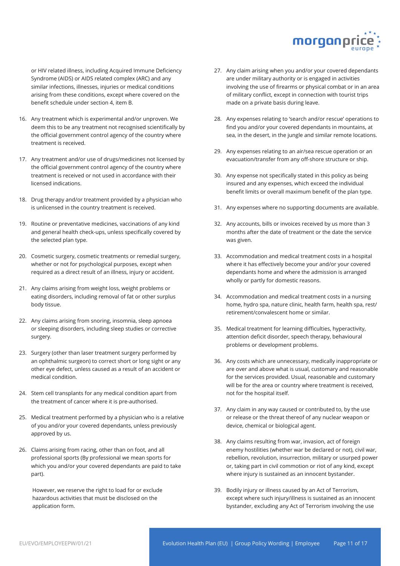

or HIV related illness, including Acquired Immune Deficiency Syndrome (AIDS) or AIDS related complex (ARC) and any similar infections, illnesses, injuries or medical conditions arising from these conditions, except where covered on the benefit schedule under section 4, item B.

- 16. Any treatment which is experimental and/or unproven. We deem this to be any treatment not recognised scientifically by the official government control agency of the country where treatment is received.
- 17. Any treatment and/or use of drugs/medicines not licensed by the official government control agency of the country where treatment is received or not used in accordance with their licensed indications.
- 18. Drug therapy and/or treatment provided by a physician who is unlicensed in the country treatment is received.
- 19. Routine or preventative medicines, vaccinations of any kind and general health check-ups, unless specifically covered by the selected plan type.
- 20. Cosmetic surgery, cosmetic treatments or remedial surgery, whether or not for psychological purposes, except when required as a direct result of an illness, injury or accident.
- 21. Any claims arising from weight loss, weight problems or eating disorders, including removal of fat or other surplus body tissue.
- 22. Any claims arising from snoring, insomnia, sleep apnoea or sleeping disorders, including sleep studies or corrective surgery.
- 23. Surgery (other than laser treatment surgery performed by an ophthalmic surgeon) to correct short or long sight or any other eye defect, unless caused as a result of an accident or medical condition.
- 24. Stem cell transplants for any medical condition apart from the treatment of cancer where it is pre-authorised.
- 25. Medical treatment performed by a physician who is a relative of you and/or your covered dependants, unless previously approved by us.
- 26. Claims arising from racing, other than on foot, and all professional sports (By professional we mean sports for which you and/or your covered dependants are paid to take part).

However, we reserve the right to load for or exclude hazardous activities that must be disclosed on the application form.

- 27. Any claim arising when you and/or your covered dependants are under military authority or is engaged in activities involving the use of firearms or physical combat or in an area of military conflict, except in connection with tourist trips made on a private basis during leave.
- 28. Any expenses relating to 'search and/or rescue' operations to find you and/or your covered dependants in mountains, at sea, in the desert, in the jungle and similar remote locations.
- 29. Any expenses relating to an air/sea rescue operation or an evacuation/transfer from any off-shore structure or ship.
- 30. Any expense not specifically stated in this policy as being insured and any expenses, which exceed the individual benefit limits or overall maximum benefit of the plan type.
- 31. Any expenses where no supporting documents are available.
- 32. Any accounts, bills or invoices received by us more than 3 months after the date of treatment or the date the service was given.
- 33. Accommodation and medical treatment costs in a hospital where it has effectively become your and/or your covered dependants home and where the admission is arranged wholly or partly for domestic reasons.
- 34. Accommodation and medical treatment costs in a nursing home, hydro spa, nature clinic, health farm, health spa, rest/ retirement/convalescent home or similar.
- 35. Medical treatment for learning difficulties, hyperactivity, attention deficit disorder, speech therapy, behavioural problems or development problems.
- 36. Any costs which are unnecessary, medically inappropriate or are over and above what is usual, customary and reasonable for the services provided. Usual, reasonable and customary will be for the area or country where treatment is received, not for the hospital itself.
- 37. Any claim in any way caused or contributed to, by the use or release or the threat thereof of any nuclear weapon or device, chemical or biological agent.
- 38. Any claims resulting from war, invasion, act of foreign enemy hostilities (whether war be declared or not), civil war, rebellion, revolution, insurrection, military or usurped power or, taking part in civil commotion or riot of any kind, except where injury is sustained as an innocent bystander.
- 39. Bodily injury or illness caused by an Act of Terrorism, except where such injury/illness is sustained as an innocent bystander, excluding any Act of Terrorism involving the use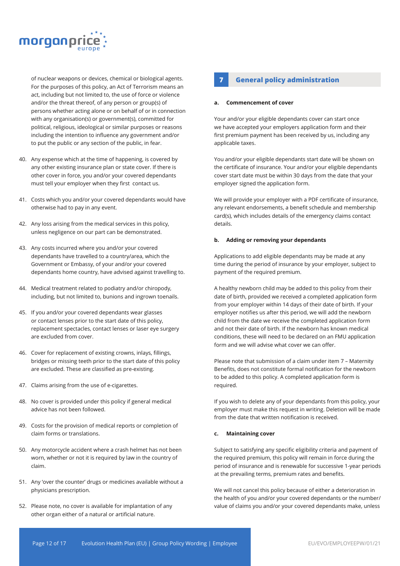

of nuclear weapons or devices, chemical or biological agents. For the purposes of this policy, an Act of Terrorism means an act, including but not limited to, the use of force or violence and/or the threat thereof, of any person or group(s) of persons whether acting alone or on behalf of or in connection with any organisation(s) or government(s), committed for political, religious, ideological or similar purposes or reasons including the intention to influence any government and/or to put the public or any section of the public, in fear.

- 40. Any expense which at the time of happening, is covered by any other existing insurance plan or state cover. If there is other cover in force, you and/or your covered dependants must tell your employer when they first contact us.
- 41. Costs which you and/or your covered dependants would have otherwise had to pay in any event.
- 42. Any loss arising from the medical services in this policy, unless negligence on our part can be demonstrated.
- 43. Any costs incurred where you and/or your covered dependants have travelled to a country/area, which the Government or Embassy, of your and/or your covered dependants home country, have advised against travelling to.
- 44. Medical treatment related to podiatry and/or chiropody, including, but not limited to, bunions and ingrown toenails.
- 45. If you and/or your covered dependants wear glasses or contact lenses prior to the start date of this policy, replacement spectacles, contact lenses or laser eye surgery are excluded from cover.
- 46. Cover for replacement of existing crowns, inlays, fillings, bridges or missing teeth prior to the start date of this policy are excluded. These are classified as pre-existing.
- 47. Claims arising from the use of e-cigarettes.
- 48. No cover is provided under this policy if general medical advice has not been followed.
- 49. Costs for the provision of medical reports or completion of claim forms or translations.
- 50. Any motorcycle accident where a crash helmet has not been worn, whether or not it is required by law in the country of claim.
- 51. Any 'over the counter' drugs or medicines available without a physicians prescription.
- 52. Please note, no cover is available for implantation of any other organ either of a natural or artificial nature.

## **7 General policy administration**

#### **a. Commencement of cover**

Your and/or your eligible dependants cover can start once we have accepted your employers application form and their first premium payment has been received by us, including any applicable taxes.

You and/or your eligible dependants start date will be shown on the certificate of insurance. Your and/or your eligible dependants cover start date must be within 30 days from the date that your employer signed the application form.

We will provide your employer with a PDF certificate of insurance, any relevant endorsements, a benefit schedule and membership card(s), which includes details of the emergency claims contact details.

#### **b. Adding or removing your dependants**

Applications to add eligible dependants may be made at any time during the period of insurance by your employer, subject to payment of the required premium.

A healthy newborn child may be added to this policy from their date of birth, provided we received a completed application form from your employer within 14 days of their date of birth. If your employer notifies us after this period, we will add the newborn child from the date we receive the completed application form and not their date of birth. If the newborn has known medical conditions, these will need to be declared on an FMU application form and we will advise what cover we can offer.

Please note that submission of a claim under item 7 – Maternity Benefits, does not constitute formal notification for the newborn to be added to this policy. A completed application form is required.

If you wish to delete any of your dependants from this policy, your employer must make this request in writing. Deletion will be made from the date that written notification is received.

#### **c. Maintaining cover**

Subject to satisfying any specific eligibility criteria and payment of the required premium, this policy will remain in force during the period of insurance and is renewable for successive 1-year periods at the prevailing terms, premium rates and benefits.

We will not cancel this policy because of either a deterioration in the health of you and/or your covered dependants or the number/ value of claims you and/or your covered dependants make, unless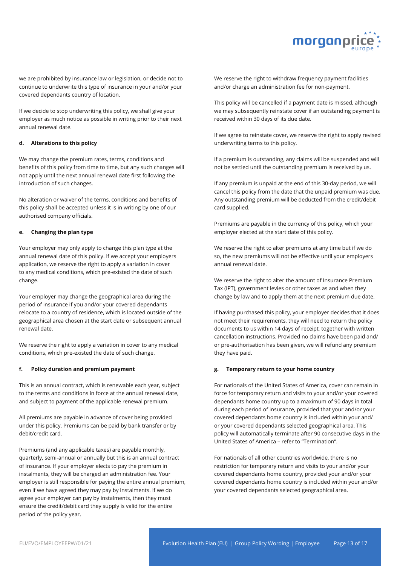

we are prohibited by insurance law or legislation, or decide not to continue to underwrite this type of insurance in your and/or your covered dependants country of location.

If we decide to stop underwriting this policy, we shall give your employer as much notice as possible in writing prior to their next annual renewal date.

#### **d. Alterations to this policy**

We may change the premium rates, terms, conditions and benefits of this policy from time to time, but any such changes will not apply until the next annual renewal date first following the introduction of such changes.

No alteration or waiver of the terms, conditions and benefits of this policy shall be accepted unless it is in writing by one of our authorised company officials.

#### **e. Changing the plan type**

Your employer may only apply to change this plan type at the annual renewal date of this policy. If we accept your employers application, we reserve the right to apply a variation in cover to any medical conditions, which pre-existed the date of such change.

Your employer may change the geographical area during the period of insurance if you and/or your covered dependants relocate to a country of residence, which is located outside of the geographical area chosen at the start date or subsequent annual renewal date.

We reserve the right to apply a variation in cover to any medical conditions, which pre-existed the date of such change.

#### **f. Policy duration and premium payment**

This is an annual contract, which is renewable each year, subject to the terms and conditions in force at the annual renewal date, and subject to payment of the applicable renewal premium.

All premiums are payable in advance of cover being provided under this policy. Premiums can be paid by bank transfer or by debit/credit card.

Premiums (and any applicable taxes) are payable monthly, quarterly, semi-annual or annually but this is an annual contract of insurance. If your employer elects to pay the premium in instalments, they will be charged an administration fee. Your employer is still responsible for paying the entire annual premium, even if we have agreed they may pay by instalments. If we do agree your employer can pay by instalments, then they must ensure the credit/debit card they supply is valid for the entire period of the policy year.

We reserve the right to withdraw frequency payment facilities and/or charge an administration fee for non-payment.

This policy will be cancelled if a payment date is missed, although we may subsequently reinstate cover if an outstanding payment is received within 30 days of its due date.

If we agree to reinstate cover, we reserve the right to apply revised underwriting terms to this policy.

If a premium is outstanding, any claims will be suspended and will not be settled until the outstanding premium is received by us.

If any premium is unpaid at the end of this 30-day period, we will cancel this policy from the date that the unpaid premium was due. Any outstanding premium will be deducted from the credit/debit card supplied.

Premiums are payable in the currency of this policy, which your employer elected at the start date of this policy.

We reserve the right to alter premiums at any time but if we do so, the new premiums will not be effective until your employers annual renewal date.

We reserve the right to alter the amount of Insurance Premium Tax (IPT), government levies or other taxes as and when they change by law and to apply them at the next premium due date.

If having purchased this policy, your employer decides that it does not meet their requirements, they will need to return the policy documents to us within 14 days of receipt, together with written cancellation instructions. Provided no claims have been paid and/ or pre-authorisation has been given, we will refund any premium they have paid.

#### **g. Temporary return to your home country**

For nationals of the United States of America, cover can remain in force for temporary return and visits to your and/or your covered dependants home country up to a maximum of 90 days in total during each period of insurance, provided that your and/or your covered dependants home country is included within your and/ or your covered dependants selected geographical area. This policy will automatically terminate after 90 consecutive days in the United States of America – refer to "Termination".

For nationals of all other countries worldwide, there is no restriction for temporary return and visits to your and/or your covered dependants home country, provided your and/or your covered dependants home country is included within your and/or your covered dependants selected geographical area.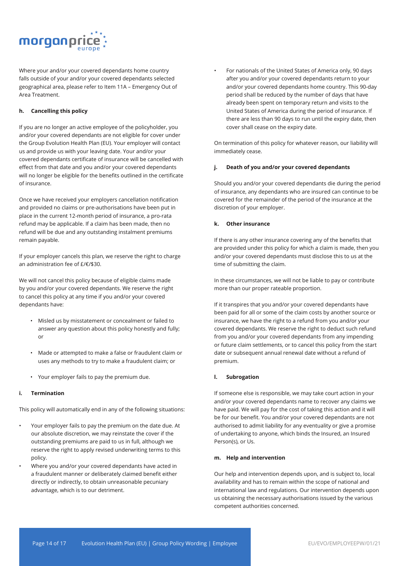

Where your and/or your covered dependants home country falls outside of your and/or your covered dependants selected geographical area, please refer to Item 11A – Emergency Out of Area Treatment.

#### **h. Cancelling this policy**

If you are no longer an active employee of the policyholder, you and/or your covered dependants are not eligible for cover under the Group Evolution Health Plan (EU). Your employer will contact us and provide us with your leaving date. Your and/or your covered dependants certificate of insurance will be cancelled with effect from that date and you and/or your covered dependants will no longer be eligible for the benefits outlined in the certificate of insurance.

Once we have received your employers cancellation notification and provided no claims or pre-authorisations have been put in place in the current 12-month period of insurance, a pro-rata refund may be applicable. If a claim has been made, then no refund will be due and any outstanding instalment premiums remain payable.

If your employer cancels this plan, we reserve the right to charge an administration fee of £/€/\$30.

We will not cancel this policy because of eligible claims made by you and/or your covered dependants. We reserve the right to cancel this policy at any time if you and/or your covered dependants have:

- Misled us by misstatement or concealment or failed to answer any question about this policy honestly and fully; or
- Made or attempted to make a false or fraudulent claim or uses any methods to try to make a fraudulent claim; or
- Your employer fails to pay the premium due.

#### **i. Termination**

This policy will automatically end in any of the following situations:

- Your employer fails to pay the premium on the date due. At our absolute discretion, we may reinstate the cover if the outstanding premiums are paid to us in full, although we reserve the right to apply revised underwriting terms to this policy.
- Where you and/or your covered dependants have acted in a fraudulent manner or deliberately claimed benefit either directly or indirectly, to obtain unreasonable pecuniary advantage, which is to our detriment.

• For nationals of the United States of America only, 90 days after you and/or your covered dependants return to your and/or your covered dependants home country. This 90-day period shall be reduced by the number of days that have already been spent on temporary return and visits to the United States of America during the period of insurance. If there are less than 90 days to run until the expiry date, then cover shall cease on the expiry date.

On termination of this policy for whatever reason, our liability will immediately cease.

#### **j. Death of you and/or your covered dependants**

Should you and/or your covered dependants die during the period of insurance, any dependants who are insured can continue to be covered for the remainder of the period of the insurance at the discretion of your employer.

#### **k. Other insurance**

If there is any other insurance covering any of the benefits that are provided under this policy for which a claim is made, then you and/or your covered dependants must disclose this to us at the time of submitting the claim.

In these circumstances, we will not be liable to pay or contribute more than our proper rateable proportion.

If it transpires that you and/or your covered dependants have been paid for all or some of the claim costs by another source or insurance, we have the right to a refund from you and/or your covered dependants. We reserve the right to deduct such refund from you and/or your covered dependants from any impending or future claim settlements, or to cancel this policy from the start date or subsequent annual renewal date without a refund of premium.

#### **l. Subrogation**

If someone else is responsible, we may take court action in your and/or your covered dependants name to recover any claims we have paid. We will pay for the cost of taking this action and it will be for our benefit. You and/or your covered dependants are not authorised to admit liability for any eventuality or give a promise of undertaking to anyone, which binds the Insured, an Insured Person(s), or Us.

#### **m. Help and intervention**

Our help and intervention depends upon, and is subject to, local availability and has to remain within the scope of national and international law and regulations. Our intervention depends upon us obtaining the necessary authorisations issued by the various competent authorities concerned.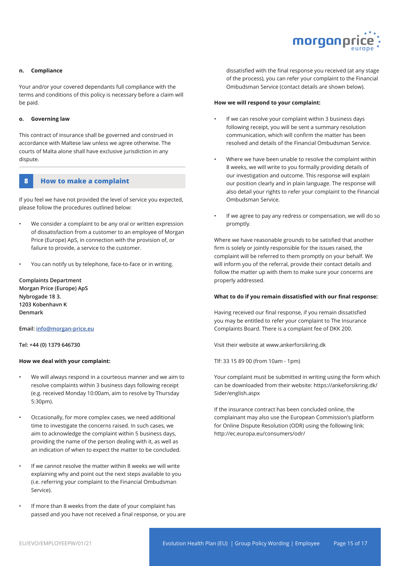

#### **n. Compliance**

Your and/or your covered dependants full compliance with the terms and conditions of this policy is necessary before a claim will be paid.

#### **o. Governing law**

This contract of insurance shall be governed and construed in accordance with Maltese law unless we agree otherwise. The courts of Malta alone shall have exclusive jurisdiction in any dispute.

#### **8 How to make a complaint**

If you feel we have not provided the level of service you expected, please follow the procedures outlined below:

- We consider a complaint to be any oral or written expression of dissatisfaction from a customer to an employee of Morgan Price (Europe) ApS, in connection with the provision of, or failure to provide, a service to the customer.
- You can notify us by telephone, face-to-face or in writing.

**Complaints Department Morgan Price (Europe) ApS Nybrogade 18 3. 1203 Kobenhavn K Denmark**

**Email: info@morgan-price.eu** 

#### **Tel: +44 (0) 1379 646730**

#### **How we deal with your complaint:**

- We will always respond in a courteous manner and we aim to resolve complaints within 3 business days following receipt (e.g. received Monday 10:00am, aim to resolve by Thursday 5:30pm).
- Occasionally, for more complex cases, we need additional time to investigate the concerns raised. In such cases, we aim to acknowledge the complaint within 5 business days, providing the name of the person dealing with it, as well as an indication of when to expect the matter to be concluded.
- If we cannot resolve the matter within 8 weeks we will write explaining why and point out the next steps available to you (i.e. referring your complaint to the Financial Ombudsman Service).
- If more than 8 weeks from the date of your complaint has passed and you have not received a final response, or you are

dissatisfied with the final response you received (at any stage of the process), you can refer your complaint to the Financial Ombudsman Service (contact details are shown below).

#### **How we will respond to your complaint:**

- If we can resolve your complaint within 3 business days following receipt, you will be sent a summary resolution communication, which will confirm the matter has been resolved and details of the Financial Ombudsman Service.
- Where we have been unable to resolve the complaint within 8 weeks, we will write to you formally providing details of our investigation and outcome. This response will explain our position clearly and in plain language. The response will also detail your rights to refer your complaint to the Financial Ombudsman Service.
- If we agree to pay any redress or compensation, we will do so promptly.

Where we have reasonable grounds to be satisfied that another firm is solely or jointly responsible for the issues raised, the complaint will be referred to them promptly on your behalf. We will inform you of the referral, provide their contact details and follow the matter up with them to make sure your concerns are properly addressed.

#### **What to do if you remain dissatisfied with our final response:**

Having received our final response, if you remain dissatisfied you may be entitled to refer your complaint to The Insurance Complaints Board. There is a complaint fee of DKK 200.

Visit their website at www.ankerforsikring.dk

Tlf: 33 15 89 00 (from 10am - 1pm)

Your complaint must be submitted in writing using the form which can be downloaded from their website: https://ankeforsikring.dk/ Sider/english.aspx

If the insurance contract has been concluded online, the complainant may also use the European Commission's platform for Online Dispute Resolution (ODR) using the following link: http://ec.europa.eu/consumers/odr/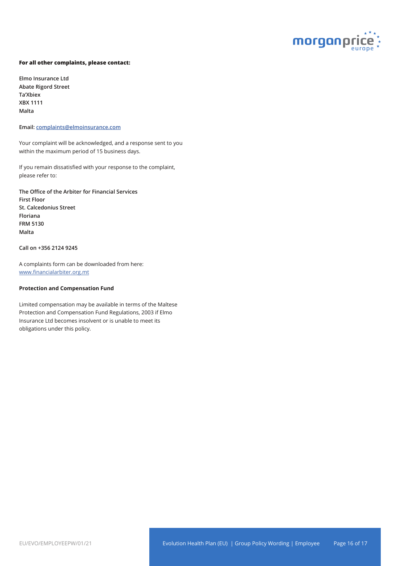

#### **For all other complaints, please contact:**

**Elmo Insurance Ltd Abate Rigord Street Ta'Xbiex XBX 1111 Malta**

**Email: complaints@elmoinsurance.com**

Your complaint will be acknowledged, and a response sent to you within the maximum period of 15 business days.

If you remain dissatisfied with your response to the complaint, please refer to:

**The Office of the Arbiter for Financial Services First Floor St. Calcedonius Street Floriana FRM 5130 Malta**

**Call on +356 2124 9245**

A complaints form can be downloaded from here: www.financialarbiter.org.mt

#### **Protection and Compensation Fund**

Limited compensation may be available in terms of the Maltese Protection and Compensation Fund Regulations, 2003 if Elmo Insurance Ltd becomes insolvent or is unable to meet its obligations under this policy.